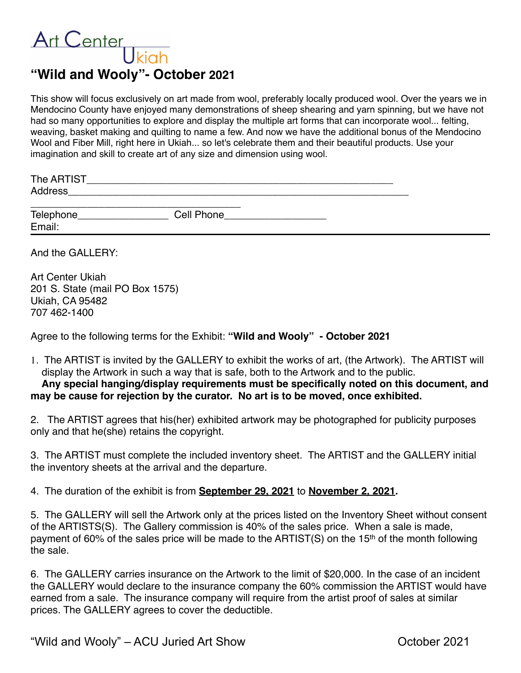## Art Center **"Wild and Wooly"- October 2021**

This show will focus exclusively on art made from wool, preferably locally produced wool. Over the years we in Mendocino County have enjoyed many demonstrations of sheep shearing and yarn spinning, but we have not had so many opportunities to explore and display the multiple art forms that can incorporate wool... felting, weaving, basket making and quilting to name a few. And now we have the additional bonus of the Mendocino Wool and Fiber Mill, right here in Ukiah... so let's celebrate them and their beautiful products. Use your imagination and skill to create art of any size and dimension using wool.

| The ARTIST |  |  |  |
|------------|--|--|--|
| Address    |  |  |  |
|            |  |  |  |

Telephone\_\_\_\_\_\_\_\_\_\_\_\_\_\_\_\_ Cell Phone\_\_\_\_\_\_\_\_\_\_\_\_\_\_\_\_\_\_ Email:

And the GALLERY:

| Art Center Ukiah                |
|---------------------------------|
| 201 S. State (mail PO Box 1575) |
| Ukiah, CA 95482                 |
| 707 462-1400                    |

Agree to the following terms for the Exhibit: **"Wild and Wooly" - October 2021**

1. The ARTIST is invited by the GALLERY to exhibit the works of art, (the Artwork). The ARTIST will display the Artwork in such a way that is safe, both to the Artwork and to the public.

## **Any special hanging/display requirements must be specifically noted on this document, and may be cause for rejection by the curator. No art is to be moved, once exhibited.**

2. The ARTIST agrees that his(her) exhibited artwork may be photographed for publicity purposes only and that he(she) retains the copyright.

3. The ARTIST must complete the included inventory sheet. The ARTIST and the GALLERY initial the inventory sheets at the arrival and the departure.

4. The duration of the exhibit is from **September 29, 2021** to **November 2, 2021.**

5. The GALLERY will sell the Artwork only at the prices listed on the Inventory Sheet without consent of the ARTISTS(S). The Gallery commission is 40% of the sales price. When a sale is made, payment of 60% of the sales price will be made to the ARTIST(S) on the 15<sup>th</sup> of the month following the sale.

6. The GALLERY carries insurance on the Artwork to the limit of \$20,000. In the case of an incident the GALLERY would declare to the insurance company the 60% commission the ARTIST would have earned from a sale. The insurance company will require from the artist proof of sales at similar prices. The GALLERY agrees to cover the deductible.

"Wild and Wooly" – ACU Juried Art Show Changes Are also be the October 2021